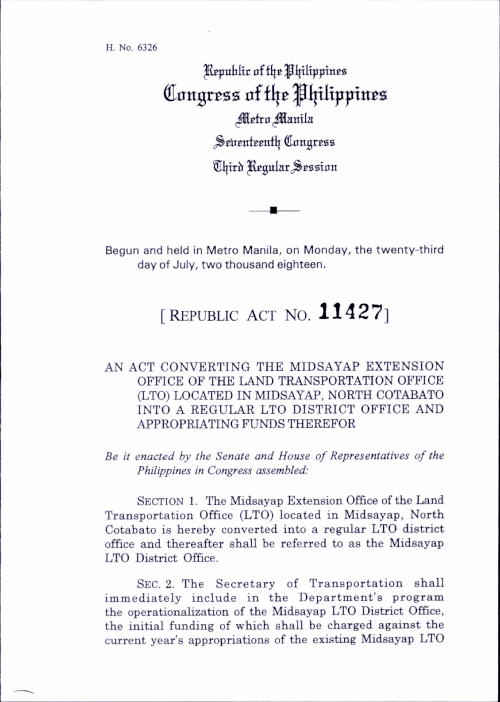H. No. 6326

Republic of the Philippines Congress of the Philippines Metro Manila Seventeenth Congress Third Regular Session

Begun and held in Metro Manila, on Monday, the twenty-third day of July, two thousand eighteen.

## [REPUBLIC ACT NO.  $11427$ ]

## AN ACT CONVERTING THE MIDSAYAP EXTENSION OFFICE OF THE LAND TRANSPORTATION OFFICE (LTO) LOCATED IN MIDSAYAP, NORTH COTABATO INTO A REGULAR LTO DISTRICT OFFICE AND APPROPRIATING FUNDS THEREFOR

Be it enacted by the Senate and House of Representatives of the Philippines in Congress assembled:

SECTION 1. The Midsayap Extension Office of the Land Transportation Office (LTO) located in Midsayap, North Cotabato is hereby converted into a regular LTO district office and thereafter shall be referred to as the Midsayap LTO District Office.

SEC. 2. The Secretary of Transportation shall immediately include in the Department's program the operationalization of the Midsayap LTO District Office, the initial funding of which shall be charged against the current year's appropriations of the existing Midsayap LTO